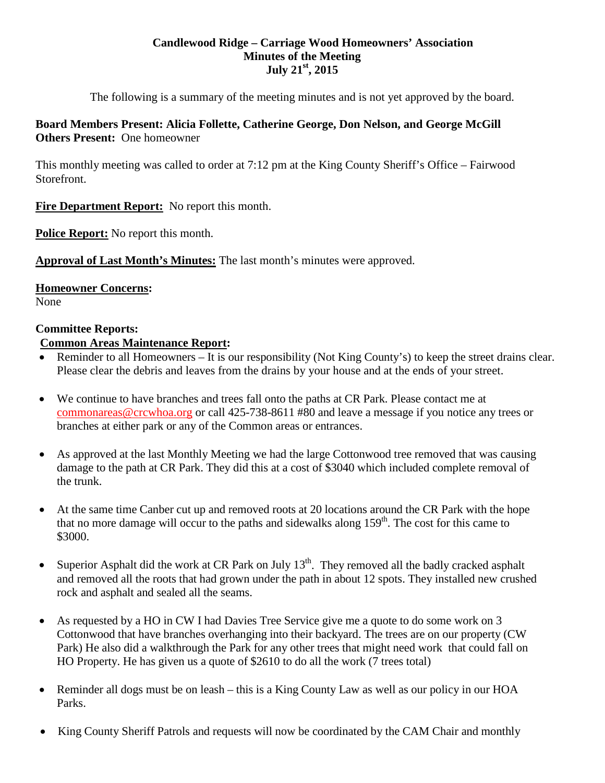#### **Candlewood Ridge – Carriage Wood Homeowners' Association Minutes of the Meeting July 21st, 2015**

The following is a summary of the meeting minutes and is not yet approved by the board.

## **Board Members Present: Alicia Follette, Catherine George, Don Nelson, and George McGill Others Present:** One homeowner

This monthly meeting was called to order at 7:12 pm at the King County Sheriff's Office – Fairwood Storefront.

**Fire Department Report:** No report this month.

**Police Report:** No report this month.

**Approval of Last Month's Minutes:** The last month's minutes were approved.

**Homeowner Concerns:**  None

#### **Committee Reports:**

#### **Common Areas Maintenance Report:**

- Reminder to all Homeowners It is our responsibility (Not King County's) to keep the street drains clear. Please clear the debris and leaves from the drains by your house and at the ends of your street.
- We continue to have branches and trees fall onto the paths at CR Park. Please contact me at [commonareas@crcwhoa.org](mailto:commonareas@crcwhoa.org) or call 425-738-8611 #80 and leave a message if you notice any trees or branches at either park or any of the Common areas or entrances.
- As approved at the last Monthly Meeting we had the large Cottonwood tree removed that was causing damage to the path at CR Park. They did this at a cost of \$3040 which included complete removal of the trunk.
- At the same time Canber cut up and removed roots at 20 locations around the CR Park with the hope that no more damage will occur to the paths and sidewalks along  $159<sup>th</sup>$ . The cost for this came to \$3000.
- Superior Asphalt did the work at CR Park on July  $13<sup>th</sup>$ . They removed all the badly cracked asphalt and removed all the roots that had grown under the path in about 12 spots. They installed new crushed rock and asphalt and sealed all the seams.
- As requested by a HO in CW I had Davies Tree Service give me a quote to do some work on 3 Cottonwood that have branches overhanging into their backyard. The trees are on our property (CW Park) He also did a walkthrough the Park for any other trees that might need work that could fall on HO Property. He has given us a quote of \$2610 to do all the work (7 trees total)
- Reminder all dogs must be on leash this is a King County Law as well as our policy in our HOA Parks.
- King County Sheriff Patrols and requests will now be coordinated by the CAM Chair and monthly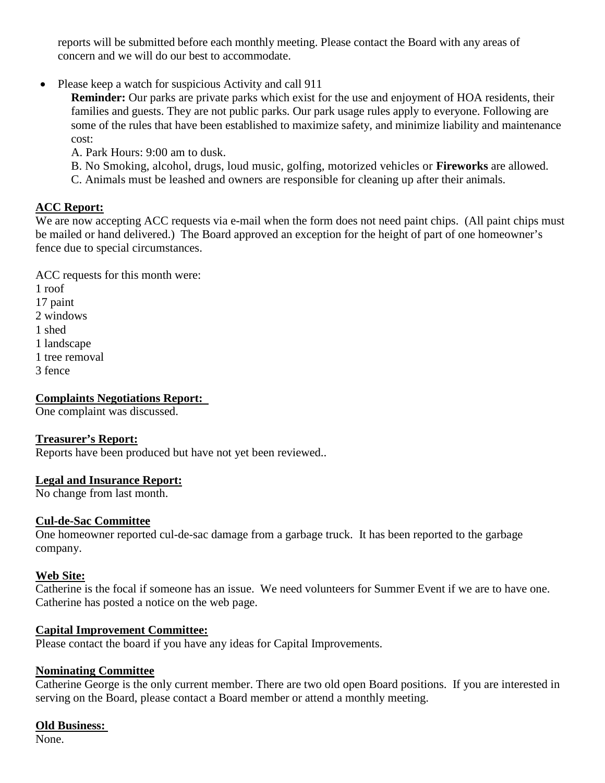reports will be submitted before each monthly meeting. Please contact the Board with any areas of concern and we will do our best to accommodate.

• Please keep a watch for suspicious Activity and call 911

**Reminder:** Our parks are private parks which exist for the use and enjoyment of HOA residents, their families and guests. They are not public parks. Our park usage rules apply to everyone. Following are some of the rules that have been established to maximize safety, and minimize liability and maintenance cost:

A. Park Hours: 9:00 am to dusk.

- B. No Smoking, alcohol, drugs, loud music, golfing, motorized vehicles or **Fireworks** are allowed.
- C. Animals must be leashed and owners are responsible for cleaning up after their animals.

# **ACC Report:**

We are now accepting ACC requests via e-mail when the form does not need paint chips. (All paint chips must be mailed or hand delivered.) The Board approved an exception for the height of part of one homeowner's fence due to special circumstances.

ACC requests for this month were:

1 roof

17 paint

2 windows

1 shed

- 1 landscape
- 1 tree removal

3 fence

# **Complaints Negotiations Report:**

One complaint was discussed.

## **Treasurer's Report:**

Reports have been produced but have not yet been reviewed..

## **Legal and Insurance Report:**

No change from last month.

## **Cul-de-Sac Committee**

One homeowner reported cul-de-sac damage from a garbage truck. It has been reported to the garbage company.

## **Web Site:**

Catherine is the focal if someone has an issue. We need volunteers for Summer Event if we are to have one. Catherine has posted a notice on the web page.

## **Capital Improvement Committee:**

Please contact the board if you have any ideas for Capital Improvements.

## **Nominating Committee**

Catherine George is the only current member. There are two old open Board positions. If you are interested in serving on the Board, please contact a Board member or attend a monthly meeting.

## **Old Business:**

None.